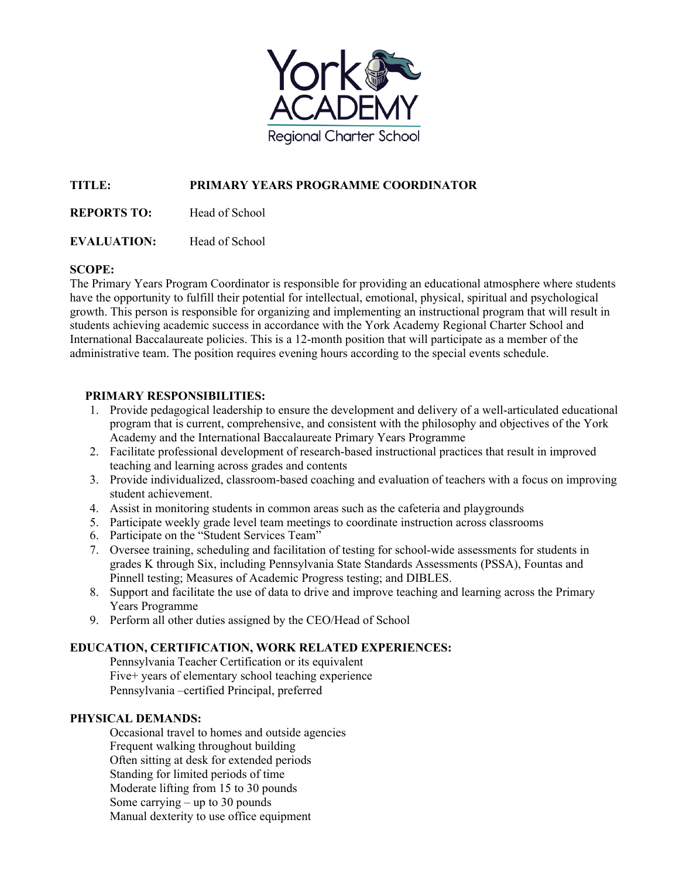

# **TITLE: PRIMARY YEARS PROGRAMME COORDINATOR**

**REPORTS TO:** Head of School

**EVALUATION:** Head of School

## **SCOPE:**

The Primary Years Program Coordinator is responsible for providing an educational atmosphere where students have the opportunity to fulfill their potential for intellectual, emotional, physical, spiritual and psychological growth. This person is responsible for organizing and implementing an instructional program that will result in students achieving academic success in accordance with the York Academy Regional Charter School and International Baccalaureate policies. This is a 12-month position that will participate as a member of the administrative team. The position requires evening hours according to the special events schedule.

## **PRIMARY RESPONSIBILITIES:**

- 1. Provide pedagogical leadership to ensure the development and delivery of a well-articulated educational program that is current, comprehensive, and consistent with the philosophy and objectives of the York Academy and the International Baccalaureate Primary Years Programme
- 2. Facilitate professional development of research-based instructional practices that result in improved teaching and learning across grades and contents
- 3. Provide individualized, classroom-based coaching and evaluation of teachers with a focus on improving student achievement.
- 4. Assist in monitoring students in common areas such as the cafeteria and playgrounds
- 5. Participate weekly grade level team meetings to coordinate instruction across classrooms
- 6. Participate on the "Student Services Team"
- 7. Oversee training, scheduling and facilitation of testing for school-wide assessments for students in grades K through Six, including Pennsylvania State Standards Assessments (PSSA), Fountas and Pinnell testing; Measures of Academic Progress testing; and DIBLES.
- 8. Support and facilitate the use of data to drive and improve teaching and learning across the Primary Years Programme
- 9. Perform all other duties assigned by the CEO/Head of School

## **EDUCATION, CERTIFICATION, WORK RELATED EXPERIENCES:**

Pennsylvania Teacher Certification or its equivalent Five+ years of elementary school teaching experience Pennsylvania –certified Principal, preferred

## **PHYSICAL DEMANDS:**

Occasional travel to homes and outside agencies Frequent walking throughout building Often sitting at desk for extended periods Standing for limited periods of time Moderate lifting from 15 to 30 pounds Some carrying – up to 30 pounds Manual dexterity to use office equipment